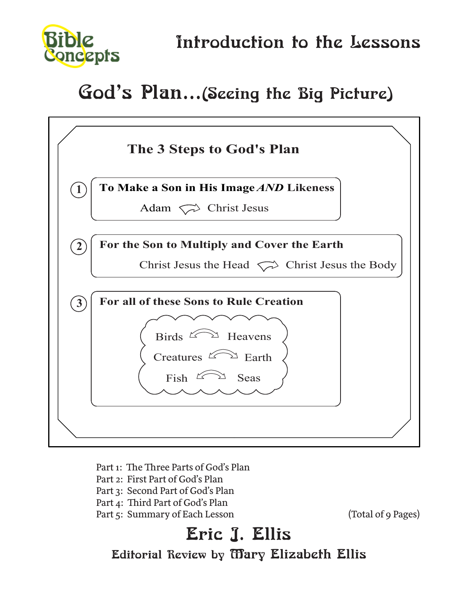

# God's Plan...(Seeing the Big Picture)



- Part 1: The Three Parts of God's Plan
- Part 2: First Part of God's Plan
- Part 3: Second Part of God's Plan
- Part 4: Third Part of God's Plan
- Part 5: Summary of Each Lesson (Total of 9 Pages)

# Eric J. Ellis Editorial Review by Mary Elizabeth Ellis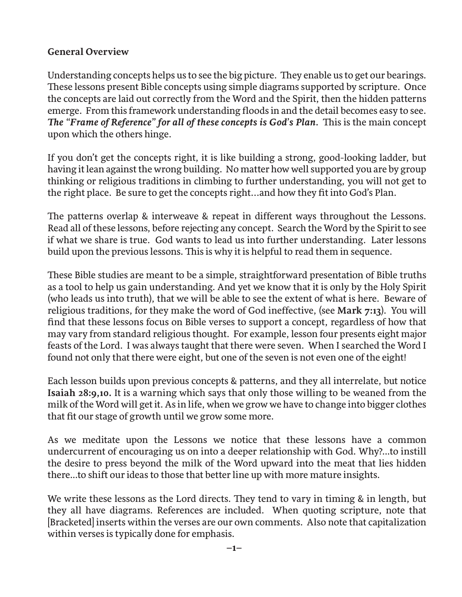# **General Overview**

Understanding concepts helps us to see the big picture. They enable us to get our bearings. These lessons present Bible concepts using simple diagrams supported by scripture. Once the concepts are laid out correctly from the Word and the Spirit, then the hidden patterns emerge. From this framework understanding floods in and the detail becomes easy to see. The "Frame of Reference" for all of these concepts is God's Plan. This is the main concept upon which the others hinge.

If you don't get the concepts right, it is like building a strong, good-looking ladder, but having it lean against the wrong building. No matter how well supported you are by group thinking or religious traditions in climbing to further understanding, you will not get to the right place. Be sure to get the concepts right...and how they fit into God's Plan.

The patterns overlap & interweave & repeat in different ways throughout the Lessons. Read all of these lessons, before rejecting any concept. Search the Word by the Spirit to see if what we share is true. God wants to lead us into further understanding. Later lessons build upon the previous lessons. This is why it is helpful to read them in sequence.

These Bible studies are meant to be a simple, straightforward presentation of Bible truths as a tool to help us gain understanding. And yet we know that it is only by the Holy Spirit (who leads us into truth), that we will be able to see the extent of what is here. Beware of religious traditions, for they make the word of God ineffective, (see **Mark 7:13**). You will find that these lessons focus on Bible verses to support a concept, regardless of how that may vary from standard religious thought. For example, lesson four presents eight major feasts of the Lord. I was always taught that there were seven. When I searched the Word I found not only that there were eight, but one of the seven is not even one of the eight!

Each lesson builds upon previous concepts & patterns, and they all interrelate, but notice **Isaiah 28:9,10.** It is a warning which says that only those willing to be weaned from the milk of the Word will get it. As in life, when we grow we have to change into bigger clothes that fit our stage of growth until we grow some more.

As we meditate upon the Lessons we notice that these lessons have a common undercurrent of encouraging us on into a deeper relationship with God. Why?...to instill the desire to press beyond the milk of the Word upward into the meat that lies hidden there...to shift our ideas to those that better line up with more mature insights.

We write these lessons as the Lord directs. They tend to vary in timing & in length, but they all have diagrams. References are included. When quoting scripture, note that [Bracketed] inserts within the verses are our own comments. Also note that capitalization within verses is typically done for emphasis.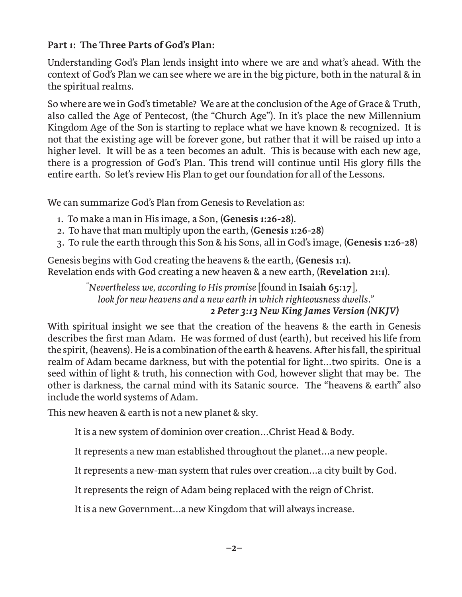# **Part 1: The Three Parts of God's Plan:**

Understanding God's Plan lends insight into where we are and what's ahead. With the context of God's Plan we can see where we are in the big picture, both in the natural & in the spiritual realms.

So where are we in God's timetable? We are at the conclusion of the Age of Grace & Truth, also called the Age of Pentecost, (the "Church Age"). In it's place the new Millennium Kingdom Age of the Son is starting to replace what we have known & recognized. It is not that the existing age will be forever gone, but rather that it will be raised up into a higher level. It will be as a teen becomes an adult. This is because with each new age, there is a progression of God's Plan. This trend will continue until His glory fills the entire earth. So let's review His Plan to get our foundation for all of the Lessons.

We can summarize God's Plan from Genesis to Revelation as:

- 1. To make a man in His image, a Son, (**Genesis 1:26-28**).
- 2. To have that man multiply upon the earth, (**Genesis 1:26-28**)
- 3. To rule the earth through this Son & his Sons, all in God's image, (**Genesis 1:26-28**)

Genesis begins with God creating the heavens & the earth, (**Genesis 1:1**). Revelation ends with God creating a new heaven & a new earth, (**Revelation 21:1**).

 *" Nevertheless we, according to His promise* [found in **Isaiah 65:17**]*, look for new heavens and a new earth in which righteousness dwells." 2 Peter 3:13 New King James Version (NKJV)* 

With spiritual insight we see that the creation of the heavens & the earth in Genesis describes the first man Adam. He was formed of dust (earth), but received his life from the spirit, (heavens). He is a combination of the earth & heavens. After his fall, the spiritual realm of Adam became darkness, but with the potential for light...two spirits. One is a seed within of light & truth, his connection with God, however slight that may be. The other is darkness, the carnal mind with its Satanic source. The "heavens & earth" also include the world systems of Adam.

This new heaven & earth is not a new planet & sky.

It is a new system of dominion over creation...Christ Head & Body.

It represents a new man established throughout the planet...a new people.

It represents a new-man system that rules over creation...a city built by God.

It represents the reign of Adam being replaced with the reign of Christ.

It is a new Government...a new Kingdom that will always increase.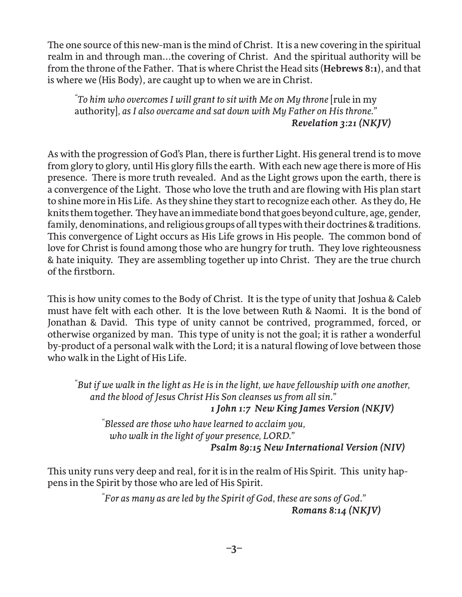The one source of this new-man is the mind of Christ. It is a new covering in the spiritual realm in and through man...the covering of Christ. And the spiritual authority will be from the throne of the Father. That is where Christ the Head sits (**Hebrews 8:1**), and that is where we (His Body), are caught up to when we are in Christ.

*" To him who overcomes I will grant to sit with Me on My throne* [rule in my authority]*, as I also overcame and sat down with My Father on His throne." Revelation 3:21 (NKJV)*

As with the progression of God's Plan, there is further Light. His general trend is to move from glory to glory, until His glory fills the earth. With each new age there is more of His presence. There is more truth revealed. And as the Light grows upon the earth, there is a convergence of the Light. Those who love the truth and are flowing with His plan start to shine more in His Life. As they shine they start to recognize each other. As they do, He knits them together. They have an immediate bond that goes beyond culture, age, gender, family, denominations, and religious groups of all types with their doctrines & traditions. This convergence of Light occurs as His Life grows in His people. The common bond of love for Christ is found among those who are hungry for truth. They love righteousness & hate iniquity. They are assembling together up into Christ. They are the true church of the firstborn.

This is how unity comes to the Body of Christ. It is the type of unity that Joshua & Caleb must have felt with each other. It is the love between Ruth & Naomi. It is the bond of Jonathan & David. This type of unity cannot be contrived, programmed, forced, or otherwise organized by man. This type of unity is not the goal; it is rather a wonderful by-product of a personal walk with the Lord; it is a natural flowing of love between those who walk in the Light of His Life.

*" But if we walk in the light as He is in the light, we have fellowship with one another, and the blood of Jesus Christ His Son cleanses us from all sin." 1 John 1:7 New King James Version (NKJV)* 

 *" Blessed are those who have learned to acclaim you, who walk in the light of your presence, LORD." Psalm 89:15 New International Version (NIV)* 

This unity runs very deep and real, for it is in the realm of His Spirit. This unity happens in the Spirit by those who are led of His Spirit.

 *" For as many as are led by the Spirit of God, these are sons of God." Romans 8:14 (NKJV)*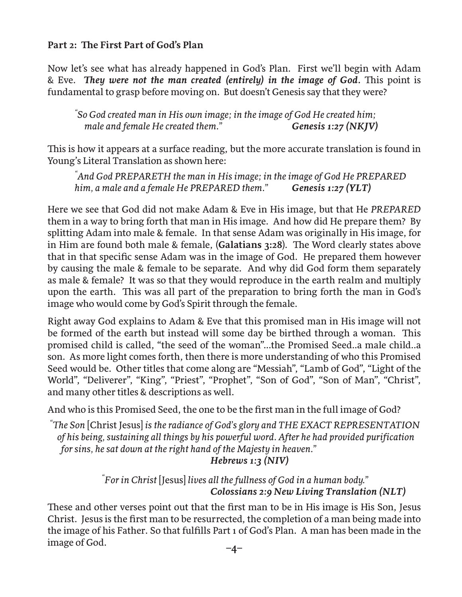# **Part 2: The First Part of God's Plan**

Now let's see what has already happened in God's Plan. First we'll begin with Adam & Eve. *They were not the man created (entirely) in the image of God.* This point is fundamental to grasp before moving on. But doesn't Genesis say that they were?

*" So God created man in His own image; in the image of God He created him; male and female He created them.*" *Genesis 1:27 (NKJV)* 

This is how it appears at a surface reading, but the more accurate translation is found in Young's Literal Translation as shown here:

*" And God PREPARETH the man in His image; in the image of God He PREPARED him, a male and a female He PREPARED them." Genesis 1:27 (YLT)* 

Here we see that God did not make Adam & Eve in His image, but that He *PREPARED* them in a way to bring forth that man in His image. And how did He prepare them? By splitting Adam into male & female. In that sense Adam was originally in His image, for in Him are found both male & female, (**Galatians 3:28**). The Word clearly states above that in that specific sense Adam was in the image of God. He prepared them however by causing the male & female to be separate. And why did God form them separately as male & female? It was so that they would reproduce in the earth realm and multiply upon the earth. This was all part of the preparation to bring forth the man in God's image who would come by God's Spirit through the female.

Right away God explains to Adam & Eve that this promised man in His image will not be formed of the earth but instead will some day be birthed through a woman. This promised child is called, "the seed of the woman"...the Promised Seed..a male child..a son. As more light comes forth, then there is more understanding of who this Promised Seed would be. Other titles that come along are "Messiah", "Lamb of God", "Light of the World", "Deliverer", "King", "Priest", "Prophet", "Son of God", "Son of Man", "Christ", and many other titles & descriptions as well.

And who is this Promised Seed, the one to be the first man in the full image of God?

*" The Son* [Christ Jesus] *is the radiance of God's glory and THE EXACT REPRESENTATION of his being, sustaining all things by his powerful word. After he had provided purification for sins, he sat down at the right hand of the Majesty in heaven."* 

 *Hebrews 1:3 (NIV)* 

 *" For in Christ* [Jesus] *lives all the fullness of God in a human body." Colossians 2:9 New Living Translation (NLT)* 

These and other verses point out that the first man to be in His image is His Son, Jesus Christ. Jesus is the first man to be resurrected, the completion of a man being made into the image of his Father. So that fulfills Part 1 of God's Plan. A man has been made in the image of God.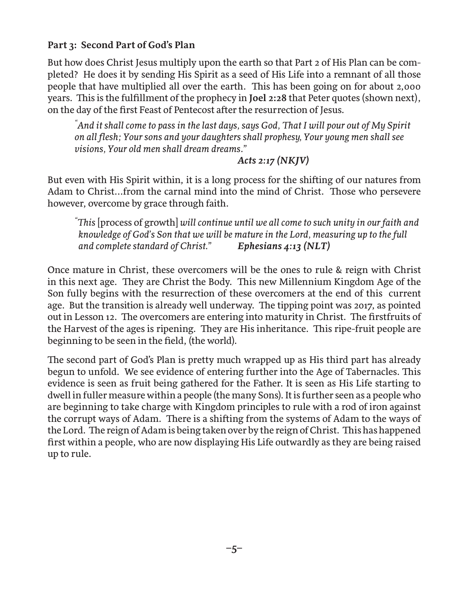# **Part 3: Second Part of God's Plan**

But how does Christ Jesus multiply upon the earth so that Part 2 of His Plan can be completed? He does it by sending His Spirit as a seed of His Life into a remnant of all those people that have multiplied all over the earth. This has been going on for about 2,000 years. This is the fulfillment of the prophecy in **Joel 2:28** that Peter quotes (shown next), on the day of the first Feast of Pentecost after the resurrection of Jesus.

*" And it shall come to pass in the last days, says God, That I will pour out of My Spirit on all flesh; Your sons and your daughters shall prophesy, Your young men shall see visions, Your old men shall dream dreams."* 

 *Acts 2:17 (NKJV)* 

But even with His Spirit within, it is a long process for the shifting of our natures from Adam to Christ...from the carnal mind into the mind of Christ. Those who persevere however, overcome by grace through faith.

*" This* [process of growth] *will continue until we all come to such unity in our faith and knowledge of God's Son that we will be mature in the Lord, measuring up to the full and complete standard of Christ." Ephesians 4:13 (NLT)* 

Once mature in Christ, these overcomers will be the ones to rule & reign with Christ in this next age. They are Christ the Body. This new Millennium Kingdom Age of the Son fully begins with the resurrection of these overcomers at the end of this current age. But the transition is already well underway. The tipping point was 2017, as pointed out in Lesson 12. The overcomers are entering into maturity in Christ. The firstfruits of the Harvest of the ages is ripening. They are His inheritance. This ripe-fruit people are beginning to be seen in the field, (the world).

The second part of God's Plan is pretty much wrapped up as His third part has already begun to unfold. We see evidence of entering further into the Age of Tabernacles. This evidence is seen as fruit being gathered for the Father. It is seen as His Life starting to dwell in fuller measure within a people (the many Sons). It is further seen as a people who are beginning to take charge with Kingdom principles to rule with a rod of iron against the corrupt ways of Adam. There is a shifting from the systems of Adam to the ways of the Lord. The reign of Adam is being taken over by the reign of Christ. This has happened first within a people, who are now displaying His Life outwardly as they are being raised up to rule.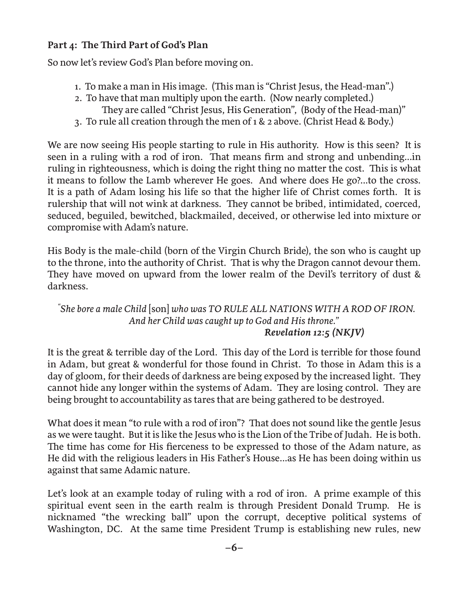# **Part 4: The Third Part of God's Plan**

So now let's review God's Plan before moving on.

- 1. To make a man in His image. (This man is "Christ Jesus, the Head-man".)
- 2. To have that man multiply upon the earth. (Now nearly completed.) They are called "Christ Jesus, His Generation", (Body of the Head-man)"
- 3. To rule all creation through the men of 1 & 2 above. (Christ Head & Body.)

We are now seeing His people starting to rule in His authority. How is this seen? It is seen in a ruling with a rod of iron. That means firm and strong and unbending...in ruling in righteousness, which is doing the right thing no matter the cost. This is what it means to follow the Lamb wherever He goes. And where does He go?...to the cross. It is a path of Adam losing his life so that the higher life of Christ comes forth. It is rulership that will not wink at darkness. They cannot be bribed, intimidated, coerced, seduced, beguiled, bewitched, blackmailed, deceived, or otherwise led into mixture or compromise with Adam's nature.

His Body is the male-child (born of the Virgin Church Bride), the son who is caught up to the throne, into the authority of Christ. That is why the Dragon cannot devour them. They have moved on upward from the lower realm of the Devil's territory of dust & darkness.

#### *"She bore a male Child* [son] *who was TO RULE ALL NATIONS WITH A ROD OF IRON. And her Child was caught up to God and His throne." Revelation 12:5 (NKJV)*

It is the great & terrible day of the Lord. This day of the Lord is terrible for those found in Adam, but great & wonderful for those found in Christ. To those in Adam this is a day of gloom, for their deeds of darkness are being exposed by the increased light. They cannot hide any longer within the systems of Adam. They are losing control. They are being brought to accountability as tares that are being gathered to be destroyed.

What does it mean "to rule with a rod of iron"? That does not sound like the gentle Jesus as we were taught. But it is like the Jesus who is the Lion of the Tribe of Judah. He is both. The time has come for His fierceness to be expressed to those of the Adam nature, as He did with the religious leaders in His Father's House...as He has been doing within us against that same Adamic nature.

Let's look at an example today of ruling with a rod of iron. A prime example of this spiritual event seen in the earth realm is through President Donald Trump. He is nicknamed "the wrecking ball" upon the corrupt, deceptive political systems of Washington, DC. At the same time President Trump is establishing new rules, new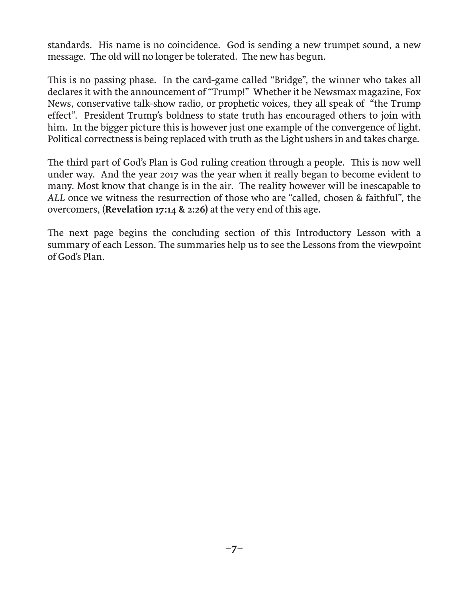standards. His name is no coincidence. God is sending a new trumpet sound, a new message. The old will no longer be tolerated. The new has begun.

This is no passing phase. In the card-game called "Bridge", the winner who takes all declares it with the announcement of "Trump!" Whether it be Newsmax magazine, Fox News, conservative talk-show radio, or prophetic voices, they all speak of "the Trump effect". President Trump's boldness to state truth has encouraged others to join with him. In the bigger picture this is however just one example of the convergence of light. Political correctness is being replaced with truth as the Light ushers in and takes charge.

The third part of God's Plan is God ruling creation through a people. This is now well under way. And the year 2017 was the year when it really began to become evident to many. Most know that change is in the air. The reality however will be inescapable to *ALL* once we witness the resurrection of those who are "called, chosen & faithful", the overcomers, (**Revelation 17:14 & 2:26)** at the very end of this age.

The next page begins the concluding section of this Introductory Lesson with a summary of each Lesson. The summaries help us to see the Lessons from the viewpoint of God's Plan.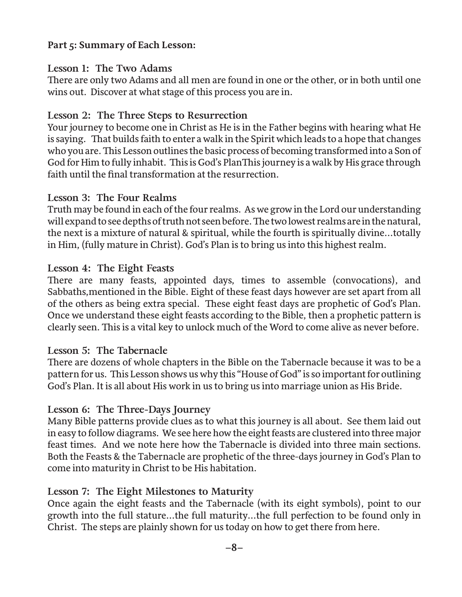# **Part 5: Summary of Each Lesson:**

# **Lesson 1: The Two Adams**

There are only two Adams and all men are found in one or the other, or in both until one wins out. Discover at what stage of this process you are in.

# **Lesson 2: The Three Steps to Resurrection**

Your journey to become one in Christ as He is in the Father begins with hearing what He is saying. That builds faith to enter a walk in the Spirit which leads to a hope that changes who you are. This Lesson outlines the basic process of becoming transformed into a Son of God for Him to fully inhabit. This is God's PlanThis journey is a walk by His grace through faith until the final transformation at the resurrection.

#### **Lesson 3: The Four Realms**

Truth may be found in each of the four realms. As we grow in the Lord our understanding will expand to see depths of truth not seen before. The two lowest realms are in the natural, the next is a mixture of natural & spiritual, while the fourth is spiritually divine...totally in Him, (fully mature in Christ). God's Plan is to bring us into this highest realm.

# **Lesson 4: The Eight Feasts**

There are many feasts, appointed days, times to assemble (convocations), and Sabbaths,mentioned in the Bible. Eight of these feast days however are set apart from all of the others as being extra special. These eight feast days are prophetic of God's Plan. Once we understand these eight feasts according to the Bible, then a prophetic pattern is clearly seen. This is a vital key to unlock much of the Word to come alive as never before.

#### **Lesson 5: The Tabernacle**

There are dozens of whole chapters in the Bible on the Tabernacle because it was to be a pattern for us. This Lesson shows us why this "House of God" is so important for outlining God's Plan. It is all about His work in us to bring us into marriage union as His Bride.

# **Lesson 6: The Three-Days Journey**

Many Bible patterns provide clues as to what this journey is all about. See them laid out in easy to follow diagrams. We see here how the eight feasts are clustered into three major feast times. And we note here how the Tabernacle is divided into three main sections. Both the Feasts & the Tabernacle are prophetic of the three-days journey in God's Plan to come into maturity in Christ to be His habitation.

# **Lesson 7: The Eight Milestones to Maturity**

Once again the eight feasts and the Tabernacle (with its eight symbols), point to our growth into the full stature...the full maturity...the full perfection to be found only in Christ. The steps are plainly shown for us today on how to get there from here.